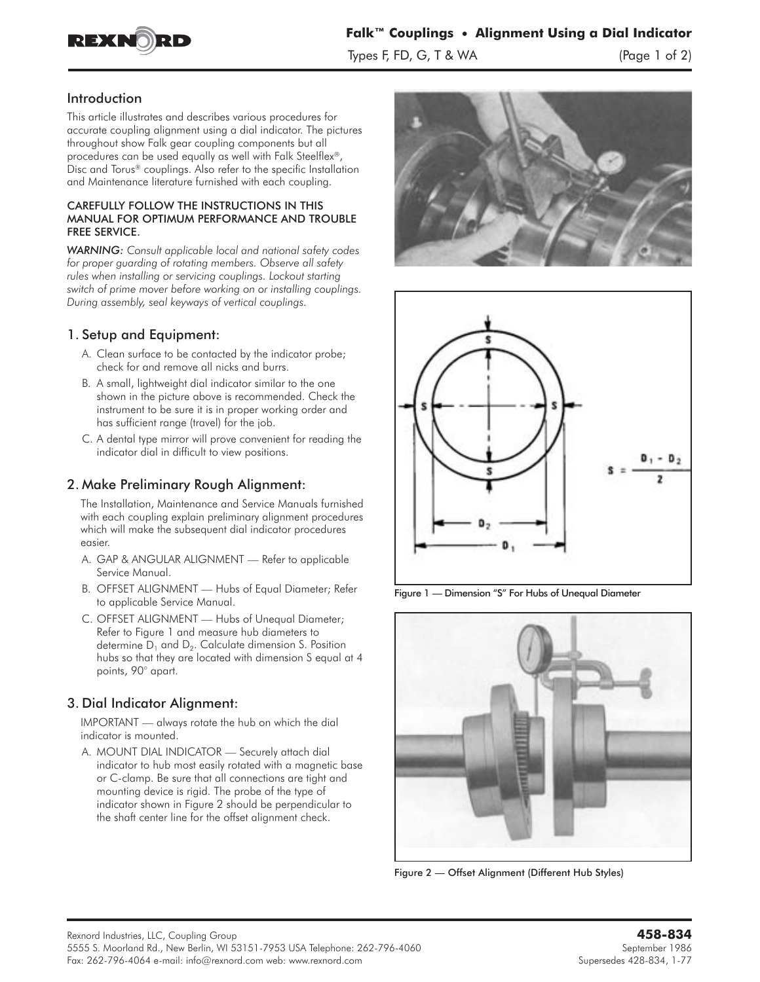

## Introduction

This article illustrates and describes various procedures for accurate coupling alignment using a dial indicator. The pictures throughout show Falk gear coupling components but all procedures can be used equally as well with Falk Steelflex®, Disc and Torus® couplings. Also refer to the specific Installation and Maintenance literature furnished with each coupling.

#### CAREFULLY FOLLOW THE INSTRUCTIONS IN THIS MANUAL FOR OPTIMUM PERFORMANCE AND TROUBLE FREE SERVICE.

*WARNING: Consult applicable local and national safety codes for proper guarding of rotating members. Observe all safety rules when installing or servicing couplings. Lockout starting switch of prime mover before working on or installing couplings. During assembly, seal keyways of vertical couplings.*

## 1. Setup and Equipment:

- A. Clean surface to be contacted by the indicator probe; check for and remove all nicks and burrs.
- B. A small, lightweight dial indicator similar to the one shown in the picture above is recommended. Check the instrument to be sure it is in proper working order and has sufficient range (travel) for the job.
- C. A dental type mirror will prove convenient for reading the indicator dial in difficult to view positions.

# 2. Make Preliminary Rough Alignment:

The Installation, Maintenance and Service Manuals furnished with each coupling explain preliminary alignment procedures which will make the subsequent dial indicator procedures easier.

- A. **GAP & ANGULAR ALIGNMENT** Refer to applicable Service Manual.
- B. **OFFSET ALIGNMENT** Hubs of Equal Diameter; Refer to applicable Service Manual.
- C. **OFFSET ALIGNMENT** Hubs of Unequal Diameter; Refer to Figure 1 and measure hub diameters to determine  $D_1$  and  $D_2$ . Calculate dimension S. Position hubs so that they are located with dimension S equal at 4 points, 90° apart.

# 3. Dial Indicator Alignment:

**IMPORTANT** — always rotate the hub on which the dial indicator is mounted.

A. **MOUNT DIAL INDICATOR** — Securely attach dial indicator to hub most easily rotated with a magnetic base or C-clamp. Be sure that all connections are tight and mounting device is rigid. The probe of the type of indicator shown in Figure 2 should be perpendicular to the shaft center line for the offset alignment check.





Figure 1 — Dimension "S" For Hubs of Unequal Diameter



Figure 2 — Offset Alignment (Different Hub Styles)